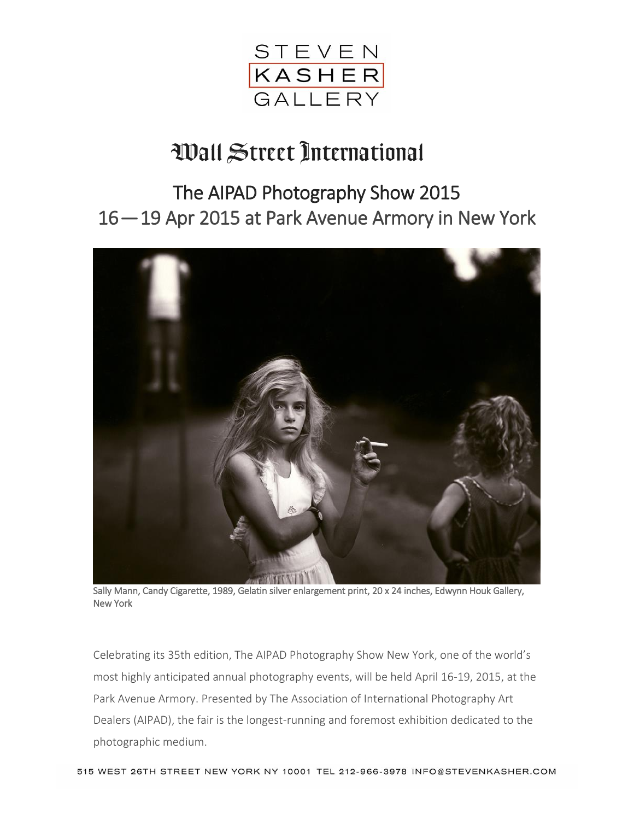

## Wall Street International

## The AIPAD Photography Show 2015 16 — 19 Apr 2015 at Park Avenue Armory in New York



Sally Mann, Candy Cigarette, 1989, Gelatin silver enlargement print, 20 x 24 inches, Edwynn Houk Gallery, New York

Celebrating its 35th edition, The AIPAD Photography Show New York, one of the world's most highly anticipated annual photography events, will be held April 16-19, 2015, at the Park Avenue Armory. Presented by The Association of International Photography Art Dealers (AIPAD), the fair is the longest-running and foremost exhibition dedicated to the photographic medium.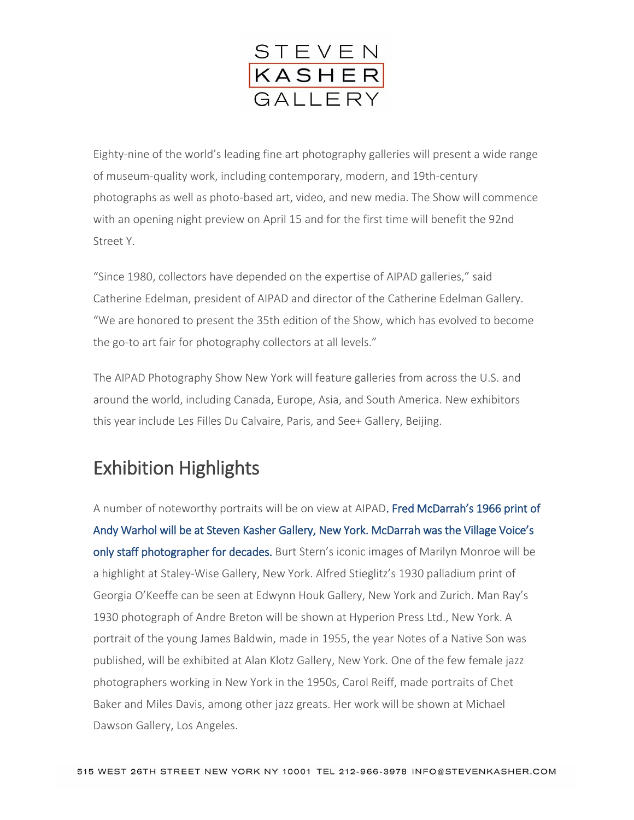

Eighty-nine of the world's leading fine art photography galleries will present a wide range of museum-quality work, including contemporary, modern, and 19th-century photographs as well as photo-based art, video, and new media. The Show will commence with an opening night preview on April 15 and for the first time will benefit the 92nd Street Y.

"Since 1980, collectors have depended on the expertise of AIPAD galleries," said Catherine Edelman, president of AIPAD and director of the Catherine Edelman Gallery. "We are honored to present the 35th edition of the Show, which has evolved to become the go-to art fair for photography collectors at all levels."

The AIPAD Photography Show New York will feature galleries from across the U.S. and around the world, including Canada, Europe, Asia, and South America. New exhibitors this year include Les Filles Du Calvaire, Paris, and See+ Gallery, Beijing.

## Exhibition Highlights

A number of noteworthy portraits will be on view at AIPAD. Fred McDarrah's 1966 print of Andy Warhol will be at Steven Kasher Gallery, New York. McDarrah was the Village Voice's only staff photographer for decades. Burt Stern's iconic images of Marilyn Monroe will be a highlight at Staley-Wise Gallery, New York. Alfred Stieglitz's 1930 palladium print of Georgia O'Keeffe can be seen at Edwynn Houk Gallery, New York and Zurich. Man Ray's 1930 photograph of Andre Breton will be shown at Hyperion Press Ltd., New York. A portrait of the young James Baldwin, made in 1955, the year Notes of a Native Son was published, will be exhibited at Alan Klotz Gallery, New York. One of the few female jazz photographers working in New York in the 1950s, Carol Reiff, made portraits of Chet Baker and Miles Davis, among other jazz greats. Her work will be shown at Michael Dawson Gallery, Los Angeles.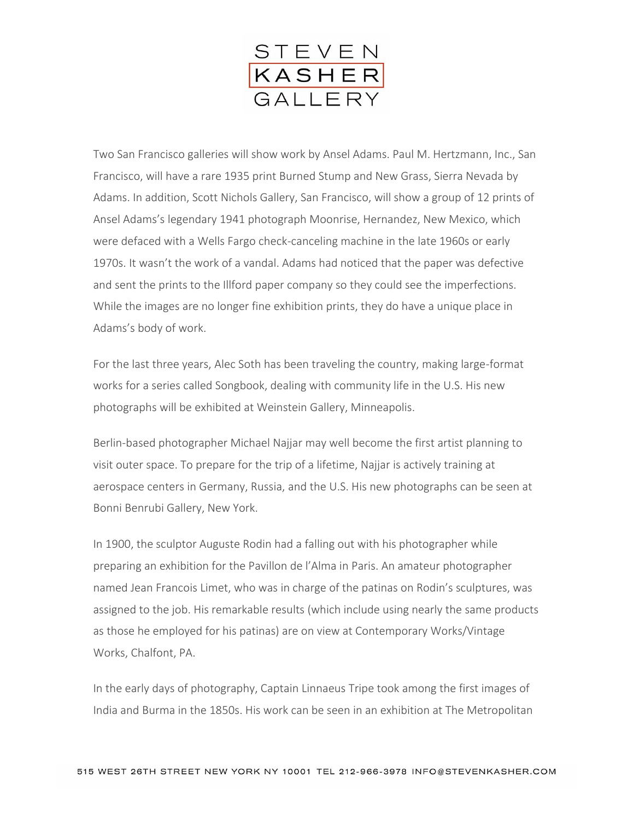

Two San Francisco galleries will show work by Ansel Adams. Paul M. Hertzmann, Inc., San Francisco, will have a rare 1935 print Burned Stump and New Grass, Sierra Nevada by Adams. In addition, Scott Nichols Gallery, San Francisco, will show a group of 12 prints of Ansel Adams's legendary 1941 photograph Moonrise, Hernandez, New Mexico, which were defaced with a Wells Fargo check-canceling machine in the late 1960s or early 1970s. It wasn't the work of a vandal. Adams had noticed that the paper was defective and sent the prints to the Illford paper company so they could see the imperfections. While the images are no longer fine exhibition prints, they do have a unique place in Adams's body of work.

For the last three years, Alec Soth has been traveling the country, making large-format works for a series called Songbook, dealing with community life in the U.S. His new photographs will be exhibited at Weinstein Gallery, Minneapolis.

Berlin-based photographer Michael Najjar may well become the first artist planning to visit outer space. To prepare for the trip of a lifetime, Najjar is actively training at aerospace centers in Germany, Russia, and the U.S. His new photographs can be seen at Bonni Benrubi Gallery, New York.

In 1900, the sculptor Auguste Rodin had a falling out with his photographer while preparing an exhibition for the Pavillon de l'Alma in Paris. An amateur photographer named Jean Francois Limet, who was in charge of the patinas on Rodin's sculptures, was assigned to the job. His remarkable results (which include using nearly the same products as those he employed for his patinas) are on view at Contemporary Works/Vintage Works, Chalfont, PA.

In the early days of photography, Captain Linnaeus Tripe took among the first images of India and Burma in the 1850s. His work can be seen in an exhibition at The Metropolitan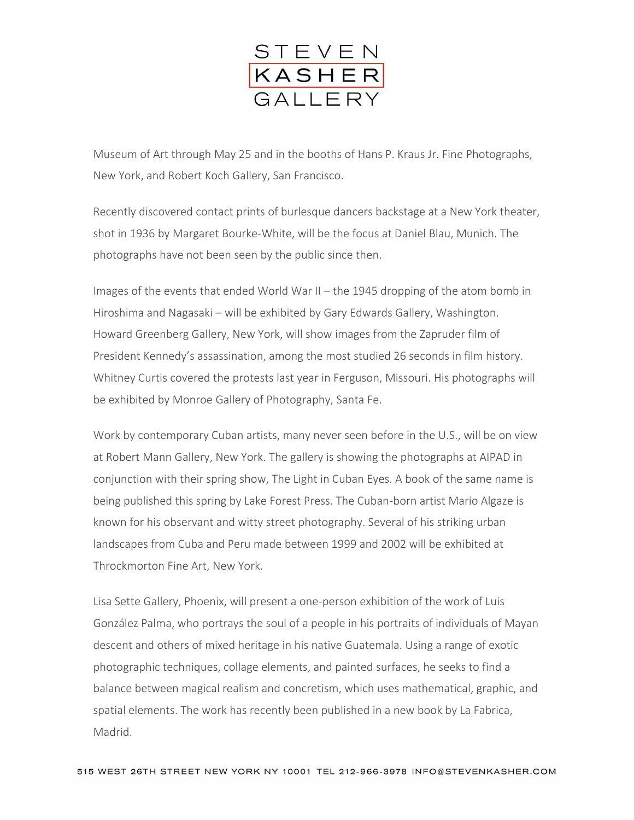

Museum of Art through May 25 and in the booths of Hans P. Kraus Jr. Fine Photographs, New York, and Robert Koch Gallery, San Francisco.

Recently discovered contact prints of burlesque dancers backstage at a New York theater, shot in 1936 by Margaret Bourke-White, will be the focus at Daniel Blau, Munich. The photographs have not been seen by the public since then.

Images of the events that ended World War II – the 1945 dropping of the atom bomb in Hiroshima and Nagasaki – will be exhibited by Gary Edwards Gallery, Washington. Howard Greenberg Gallery, New York, will show images from the Zapruder film of President Kennedy's assassination, among the most studied 26 seconds in film history. Whitney Curtis covered the protests last year in Ferguson, Missouri. His photographs will be exhibited by Monroe Gallery of Photography, Santa Fe.

Work by contemporary Cuban artists, many never seen before in the U.S., will be on view at Robert Mann Gallery, New York. The gallery is showing the photographs at AIPAD in conjunction with their spring show, The Light in Cuban Eyes. A book of the same name is being published this spring by Lake Forest Press. The Cuban-born artist Mario Algaze is known for his observant and witty street photography. Several of his striking urban landscapes from Cuba and Peru made between 1999 and 2002 will be exhibited at Throckmorton Fine Art, New York.

Lisa Sette Gallery, Phoenix, will present a one-person exhibition of the work of Luis González Palma, who portrays the soul of a people in his portraits of individuals of Mayan descent and others of mixed heritage in his native Guatemala. Using a range of exotic photographic techniques, collage elements, and painted surfaces, he seeks to find a balance between magical realism and concretism, which uses mathematical, graphic, and spatial elements. The work has recently been published in a new book by La Fabrica, Madrid.